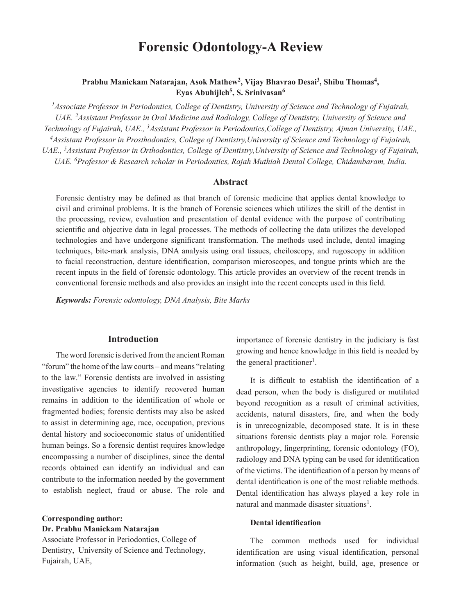# **Forensic Odontology-A Review**

# **Prabhu Manickam Natarajan, Asok Mathew<sup>2</sup> , Vijay Bhavrao Desai<sup>3</sup> , Shibu Thomas<sup>4</sup> , Eyas Abuhijleh<sup>5</sup> , S. Srinivasan<sup>6</sup>**

*<sup>1</sup>Associate Professor in Periodontics, College of Dentistry, University of Science and Technology of Fujairah, UAE. 2Assistant Professor in Oral Medicine and Radiology, College of Dentistry, University of Science and Technology of Fujairah, UAE., 3Assistant Professor in Periodontics,College of Dentistry, Ajman University, UAE., <sup>4</sup>Assistant Professor in Prosthodontics, College of Dentistry,University of Science and Technology of Fujairah, UAE., 5Assistant Professor in Orthodontics, College of Dentistry,University of Science and Technology of Fujairah, UAE. 6Professor & Research scholar in Periodontics, Rajah Muthiah Dental College, Chidambaram, India.*

#### **Abstract**

Forensic dentistry may be defined as that branch of forensic medicine that applies dental knowledge to civil and criminal problems. It is the branch of Forensic sciences which utilizes the skill of the dentist in the processing, review, evaluation and presentation of dental evidence with the purpose of contributing scientific and objective data in legal processes. The methods of collecting the data utilizes the developed technologies and have undergone significant transformation. The methods used include, dental imaging techniques, bite-mark analysis, DNA analysis using oral tissues, cheiloscopy, and rugoscopy in addition to facial reconstruction, denture identification, comparison microscopes, and tongue prints which are the recent inputs in the field of forensic odontology. This article provides an overview of the recent trends in conventional forensic methods and also provides an insight into the recent concepts used in this field.

*Keywords: Forensic odontology, DNA Analysis, Bite Marks*

## **Introduction**

The word forensic is derived from the ancient Roman "forum" the home of the law courts – and means "relating to the law." Forensic dentists are involved in assisting investigative agencies to identify recovered human remains in addition to the identification of whole or fragmented bodies; forensic dentists may also be asked to assist in determining age, race, occupation, previous dental history and socioeconomic status of unidentified human beings. So a forensic dentist requires knowledge encompassing a number of disciplines, since the dental records obtained can identify an individual and can contribute to the information needed by the government to establish neglect, fraud or abuse. The role and

**Corresponding author:**

#### **Dr. Prabhu Manickam Natarajan**

Associate Professor in Periodontics, College of Dentistry, University of Science and Technology, Fujairah, UAE,

importance of forensic dentistry in the judiciary is fast growing and hence knowledge in this field is needed by the general practitioner<sup>1</sup>.

It is difficult to establish the identification of a dead person, when the body is disfigured or mutilated beyond recognition as a result of criminal activities, accidents, natural disasters, fire, and when the body is in unrecognizable, decomposed state. It is in these situations forensic dentists play a major role. Forensic anthropology, fingerprinting, forensic odontology (FO), radiology and DNA typing can be used for identification of the victims. The identification of a person by means of dental identification is one of the most reliable methods. Dental identification has always played a key role in natural and manmade disaster situations<sup>1</sup>.

## **Dental identification**

The common methods used for individual identification are using visual identification, personal information (such as height, build, age, presence or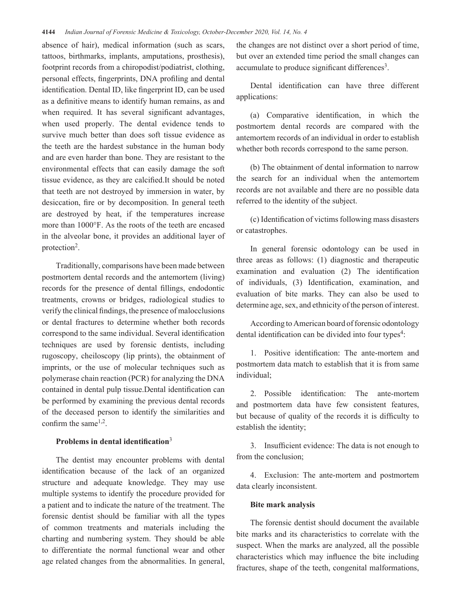absence of hair), medical information (such as scars, tattoos, birthmarks, implants, amputations, prosthesis), footprint records from a chiropodist/podiatrist, clothing, personal effects, fingerprints, DNA profiling and dental identification. Dental ID, like fingerprint ID, can be used as a definitive means to identify human remains, as and when required. It has several significant advantages, when used properly. The dental evidence tends to survive much better than does soft tissue evidence as the teeth are the hardest substance in the human body and are even harder than bone. They are resistant to the environmental effects that can easily damage the soft tissue evidence, as they are calcified.It should be noted that teeth are not destroyed by immersion in water, by desiccation, fire or by decomposition. In general teeth are destroyed by heat, if the temperatures increase more than 1000°F. As the roots of the teeth are encased in the alveolar bone, it provides an additional layer of protection<sup>2</sup>.

Traditionally, comparisons have been made between postmortem dental records and the antemortem (living) records for the presence of dental fillings, endodontic treatments, crowns or bridges, radiological studies to verify the clinical findings, the presence of malocclusions or dental fractures to determine whether both records correspond to the same individual. Several identification techniques are used by forensic dentists, including rugoscopy, cheiloscopy (lip prints), the obtainment of imprints, or the use of molecular techniques such as polymerase chain reaction (PCR) for analyzing the DNA contained in dental pulp tissue.Dental identification can be performed by examining the previous dental records of the deceased person to identify the similarities and confirm the same<sup> $1,2$ </sup>.

## **Problems in dental identification**<sup>3</sup>

The dentist may encounter problems with dental identification because of the lack of an organized structure and adequate knowledge. They may use multiple systems to identify the procedure provided for a patient and to indicate the nature of the treatment. The forensic dentist should be familiar with all the types of common treatments and materials including the charting and numbering system. They should be able to differentiate the normal functional wear and other age related changes from the abnormalities. In general, the changes are not distinct over a short period of time, but over an extended time period the small changes can accumulate to produce significant differences<sup>3</sup>.

Dental identification can have three different applications:

(a) Comparative identification, in which the postmortem dental records are compared with the antemortem records of an individual in order to establish whether both records correspond to the same person.

(b) The obtainment of dental information to narrow the search for an individual when the antemortem records are not available and there are no possible data referred to the identity of the subject.

(c) Identification of victims following mass disasters or catastrophes.

In general forensic odontology can be used in three areas as follows: (1) diagnostic and therapeutic examination and evaluation (2) The identification of individuals, (3) Identification, examination, and evaluation of bite marks. They can also be used to determine age, sex, and ethnicity of the person of interest.

According to American board of forensic odontology dental identification can be divided into four types<sup>4</sup>:

1. Positive identification: The ante-mortem and postmortem data match to establish that it is from same individual;

2. Possible identification: The ante-mortem and postmortem data have few consistent features, but because of quality of the records it is difficulty to establish the identity;

3. Insufficient evidence: The data is not enough to from the conclusion;

4. Exclusion: The ante-mortem and postmortem data clearly inconsistent.

#### **Bite mark analysis**

The forensic dentist should document the available bite marks and its characteristics to correlate with the suspect. When the marks are analyzed, all the possible characteristics which may influence the bite including fractures, shape of the teeth, congenital malformations,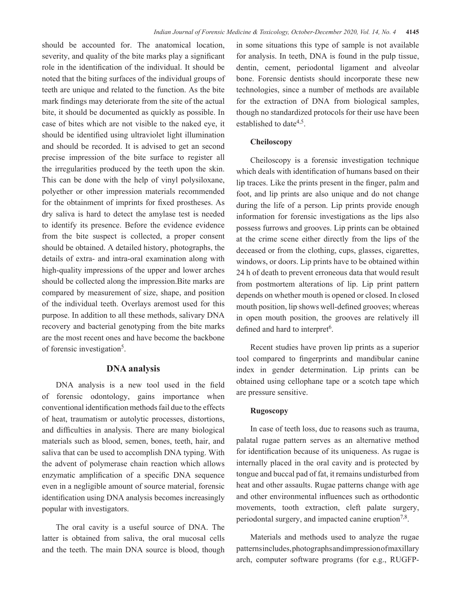should be accounted for. The anatomical location, severity, and quality of the bite marks play a significant role in the identification of the individual. It should be noted that the biting surfaces of the individual groups of teeth are unique and related to the function. As the bite mark findings may deteriorate from the site of the actual bite, it should be documented as quickly as possible. In case of bites which are not visible to the naked eye, it should be identified using ultraviolet light illumination and should be recorded. It is advised to get an second precise impression of the bite surface to register all the irregularities produced by the teeth upon the skin. This can be done with the help of vinyl polysiloxane, polyether or other impression materials recommended for the obtainment of imprints for fixed prostheses. As dry saliva is hard to detect the amylase test is needed to identify its presence. Before the evidence evidence from the bite suspect is collected, a proper consent should be obtained. A detailed history, photographs, the details of extra- and intra-oral examination along with high-quality impressions of the upper and lower arches should be collected along the impression.Bite marks are compared by measurement of size, shape, and position of the individual teeth. Overlays aremost used for this purpose. In addition to all these methods, salivary DNA recovery and bacterial genotyping from the bite marks are the most recent ones and have become the backbone of forensic investigation<sup>5</sup>.

## **DNA analysis**

DNA analysis is a new tool used in the field of forensic odontology, gains importance when conventional identification methods fail due to the effects of heat, traumatism or autolytic processes, distortions, and difficulties in analysis. There are many biological materials such as blood, semen, bones, teeth, hair, and saliva that can be used to accomplish DNA typing. With the advent of polymerase chain reaction which allows enzymatic amplification of a specific DNA sequence even in a negligible amount of source material, forensic identification using DNA analysis becomes increasingly popular with investigators.

The oral cavity is a useful source of DNA. The latter is obtained from saliva, the oral mucosal cells and the teeth. The main DNA source is blood, though in some situations this type of sample is not available for analysis. In teeth, DNA is found in the pulp tissue, dentin, cement, periodontal ligament and alveolar bone. Forensic dentists should incorporate these new technologies, since a number of methods are available for the extraction of DNA from biological samples, though no standardized protocols for their use have been established to date<sup>4,5</sup>.

## **Cheiloscopy**

Cheiloscopy is a forensic investigation technique which deals with identification of humans based on their lip traces. Like the prints present in the finger, palm and foot, and lip prints are also unique and do not change during the life of a person. Lip prints provide enough information for forensic investigations as the lips also possess furrows and grooves. Lip prints can be obtained at the crime scene either directly from the lips of the deceased or from the clothing, cups, glasses, cigarettes, windows, or doors. Lip prints have to be obtained within 24 h of death to prevent erroneous data that would result from postmortem alterations of lip. Lip print pattern depends on whether mouth is opened or closed. In closed mouth position, lip shows well-defined grooves; whereas in open mouth position, the grooves are relatively ill defined and hard to interpret<sup>6</sup>.

Recent studies have proven lip prints as a superior tool compared to fingerprints and mandibular canine index in gender determination. Lip prints can be obtained using cellophane tape or a scotch tape which are pressure sensitive.

#### **Rugoscopy**

In case of teeth loss, due to reasons such as trauma, palatal rugae pattern serves as an alternative method for identification because of its uniqueness. As rugae is internally placed in the oral cavity and is protected by tongue and buccal pad of fat, it remains undisturbed from heat and other assaults. Rugae patterns change with age and other environmental influences such as orthodontic movements, tooth extraction, cleft palate surgery, periodontal surgery, and impacted canine eruption<sup>7,8</sup>.

Materials and methods used to analyze the rugae patterns includes, photographs and impression of maxillary arch, computer software programs (for e.g., RUGFP-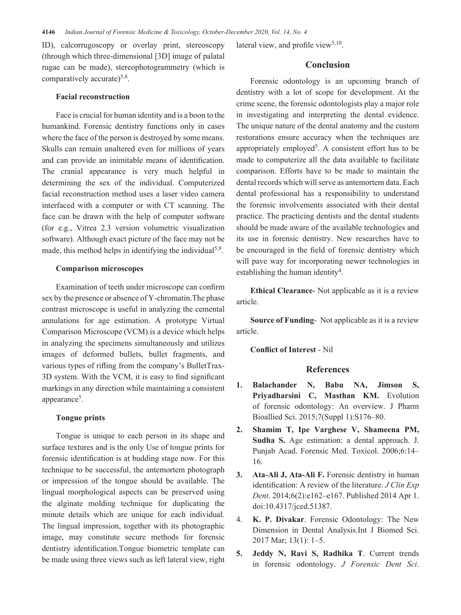ID), calcorrugoscopy or overlay print, stereoscopy (through which three-dimensional [3D] image of palatal rugae can be made), stereophotogrammetry (which is comparatively accurate)<sup>5,8</sup>.

#### **Facial reconstruction**

Face is crucial for human identity and is a boon to the humankind. Forensic dentistry functions only in cases where the face of the person is destroyed by some means. Skulls can remain unaltered even for millions of years and can provide an inimitable means of identification. The cranial appearance is very much helpful in determining the sex of the individual. Computerized facial reconstruction method uses a laser video camera interfaced with a computer or with CT scanning. The face can be drawn with the help of computer software (for e.g., Vitrea 2.3 version volumetric visualization software). Although exact picture of the face may not be made, this method helps in identifying the individual<sup>5,9</sup>.

#### **Comparison microscopes**

Examination of teeth under microscope can confirm sex by the presence or absence of Y-chromatin.The phase contrast microscope is useful in analyzing the cemental annulations for age estimation. A prototype Virtual Comparison Microscope (VCM).is a device which helps in analyzing the specimens simultaneously and utilizes images of deformed bullets, bullet fragments, and various types of rifling from the company's BulletTrax-3D system. With the VCM, it is easy to find significant markings in any direction while maintaining a consistent appearance<sup>5</sup>.

## **Tongue prints**

Tongue is unique to each person in its shape and surface textures and is the only Use of tongue prints for forensic identification is at budding stage now. For this technique to be successful, the antemortem photograph or impression of the tongue should be available. The lingual morphological aspects can be preserved using the alginate molding technique for duplicating the minute details which are unique for each individual. The lingual impression, together with its photographic image, may constitute secure methods for forensic dentistry identification.Tongue biometric template can be made using three views such as left lateral view, right lateral view, and profile view<sup>5,10</sup>.

## **Conclusion**

Forensic odontology is an upcoming branch of dentistry with a lot of scope for development. At the crime scene, the forensic odontologists play a major role in investigating and interpreting the dental evidence. The unique nature of the dental anatomy and the custom restorations ensure accuracy when the techniques are appropriately employed<sup>5</sup>. A consistent effort has to be made to computerize all the data available to facilitate comparison. Efforts have to be made to maintain the dental records which will serve as antemortem data. Each dental professional has a responsibility to understand the forensic involvements associated with their dental practice. The practicing dentists and the dental students should be made aware of the available technologies and its use in forensic dentistry. New researches have to be encouraged in the field of forensic dentistry which will pave way for incorporating newer technologies in establishing the human identity<sup>4</sup>.

**Ethical Clearance**- Not applicable as it is a review article.

**Source of Funding**- Not applicable as it is a review article.

**Conflict of Interest** - Nil

#### **References**

- **1. Balachander N, Babu NA, Jimson S, Priyadharsini C, Masthan KM.** Evolution of forensic odontology: An overview. J Pharm Bioallied Sci. 2015;7(Suppl 1):S176–80.
- **2. Shamim T, Ipe Varghese V, Shameena PM, Sudha S.** Age estimation: a dental approach. J. Punjab Acad. Forensic Med. Toxicol. 2006;6:14– 16.
- **3. Ata-Ali J, Ata-Ali F.** Forensic dentistry in human identification: A review of the literature. *J Clin Exp Dent*. 2014;6(2):e162–e167. Published 2014 Apr 1. doi:10.4317/jced.51387.
- 4. **K. P. Divakar**. Forensic Odontology: The New Dimension in Dental Analysis.Int J Biomed Sci. 2017 Mar; 13(1): 1–5.
- **5. Jeddy N, Ravi S, Radhika T**. Current trends in forensic odontology. *J Forensic Dent Sci*.